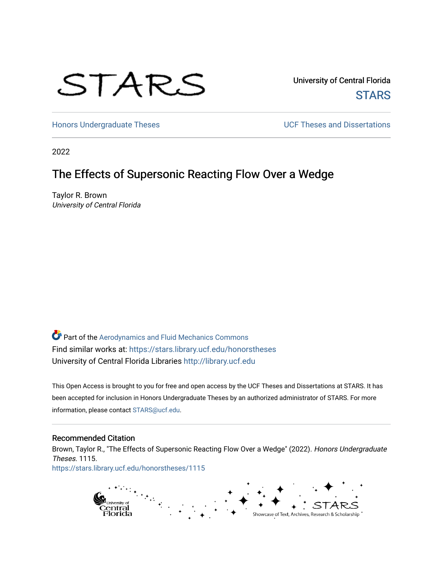# STARS

University of Central Florida **STARS** 

[Honors Undergraduate Theses](https://stars.library.ucf.edu/honorstheses) **Exercise 2 and Serverse** UCF Theses and Dissertations

2022

# The Effects of Supersonic Reacting Flow Over a Wedge

Taylor R. Brown University of Central Florida

Part of the [Aerodynamics and Fluid Mechanics Commons](https://network.bepress.com/hgg/discipline/222?utm_source=stars.library.ucf.edu%2Fhonorstheses%2F1115&utm_medium=PDF&utm_campaign=PDFCoverPages)  Find similar works at: <https://stars.library.ucf.edu/honorstheses> University of Central Florida Libraries [http://library.ucf.edu](http://library.ucf.edu/) 

This Open Access is brought to you for free and open access by the UCF Theses and Dissertations at STARS. It has been accepted for inclusion in Honors Undergraduate Theses by an authorized administrator of STARS. For more information, please contact [STARS@ucf.edu.](mailto:STARS@ucf.edu)

#### Recommended Citation

Brown, Taylor R., "The Effects of Supersonic Reacting Flow Over a Wedge" (2022). Honors Undergraduate Theses. 1115. [https://stars.library.ucf.edu/honorstheses/1115](https://stars.library.ucf.edu/honorstheses/1115?utm_source=stars.library.ucf.edu%2Fhonorstheses%2F1115&utm_medium=PDF&utm_campaign=PDFCoverPages)

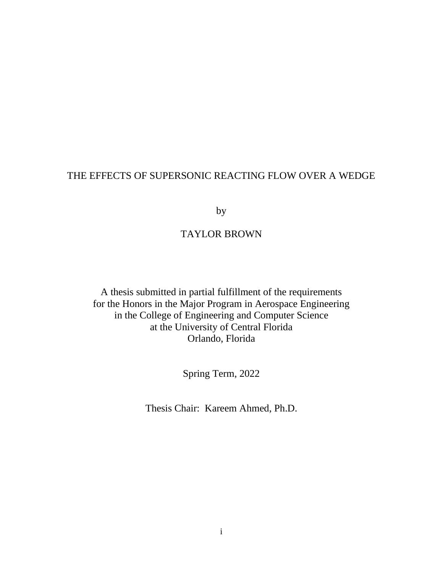## THE EFFECTS OF SUPERSONIC REACTING FLOW OVER A WEDGE

by

## TAYLOR BROWN

A thesis submitted in partial fulfillment of the requirements for the Honors in the Major Program in Aerospace Engineering in the College of Engineering and Computer Science at the University of Central Florida Orlando, Florida

Spring Term, 2022

Thesis Chair: Kareem Ahmed, Ph.D.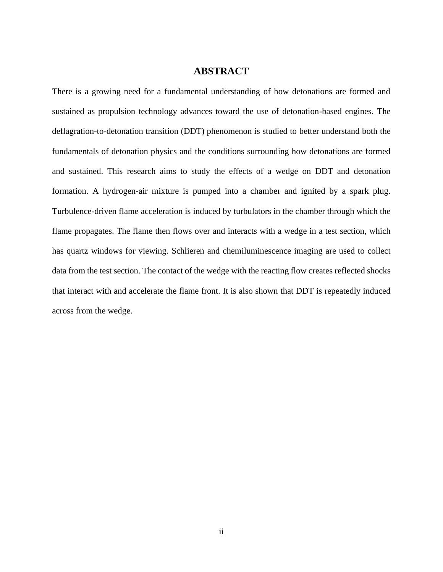### **ABSTRACT**

There is a growing need for a fundamental understanding of how detonations are formed and sustained as propulsion technology advances toward the use of detonation-based engines. The deflagration-to-detonation transition (DDT) phenomenon is studied to better understand both the fundamentals of detonation physics and the conditions surrounding how detonations are formed and sustained. This research aims to study the effects of a wedge on DDT and detonation formation. A hydrogen-air mixture is pumped into a chamber and ignited by a spark plug. Turbulence-driven flame acceleration is induced by turbulators in the chamber through which the flame propagates. The flame then flows over and interacts with a wedge in a test section, which has quartz windows for viewing. Schlieren and chemiluminescence imaging are used to collect data from the test section. The contact of the wedge with the reacting flow creates reflected shocks that interact with and accelerate the flame front. It is also shown that DDT is repeatedly induced across from the wedge.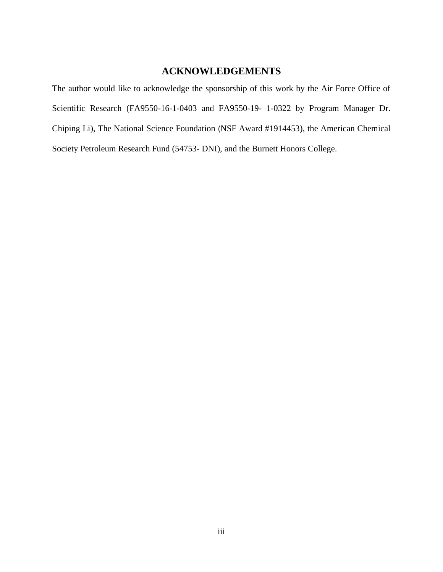## **ACKNOWLEDGEMENTS**

The author would like to acknowledge the sponsorship of this work by the Air Force Office of Scientific Research (FA9550-16-1-0403 and FA9550-19- 1-0322 by Program Manager Dr. Chiping Li), The National Science Foundation (NSF Award #1914453), the American Chemical Society Petroleum Research Fund (54753- DNI), and the Burnett Honors College.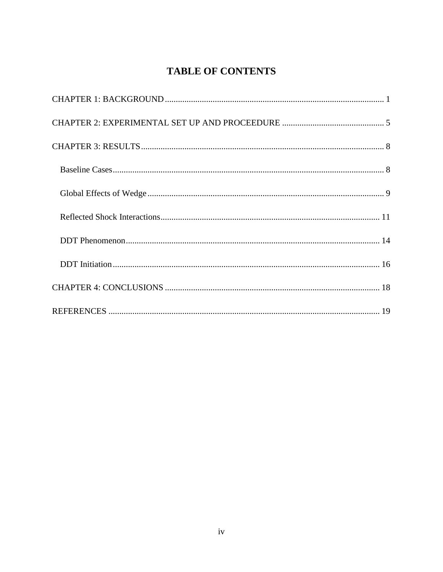# **TABLE OF CONTENTS**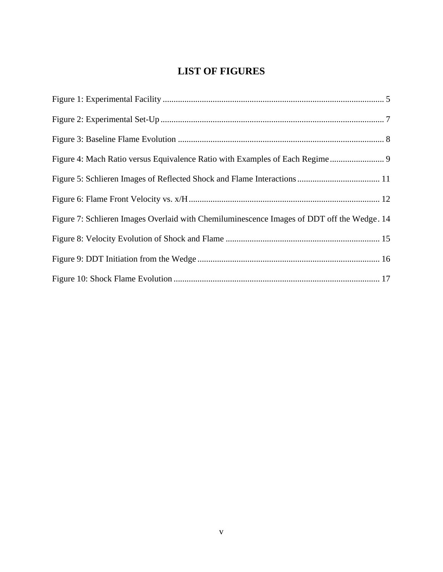# **LIST OF FIGURES**

| Figure 7: Schlieren Images Overlaid with Chemiluminescence Images of DDT off the Wedge. 14 |
|--------------------------------------------------------------------------------------------|
|                                                                                            |
|                                                                                            |
|                                                                                            |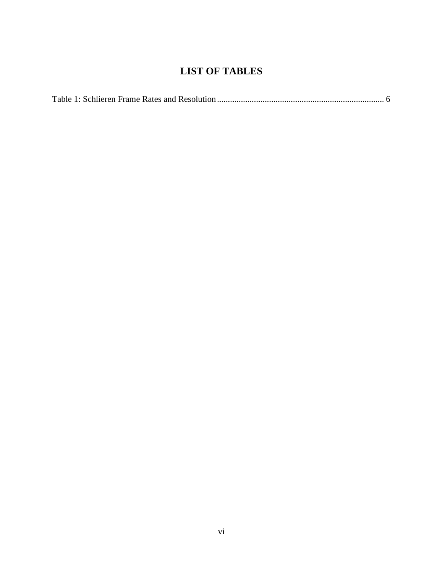# **LIST OF TABLES**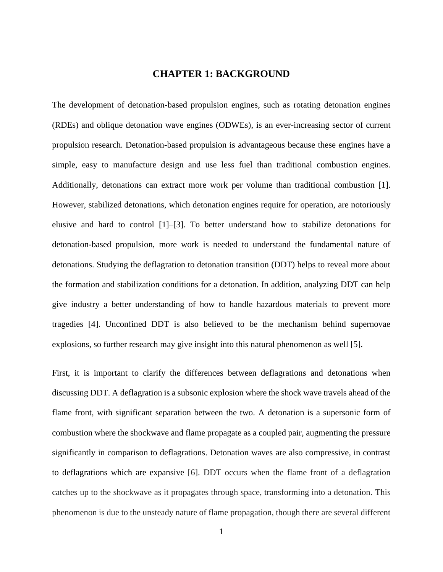#### **CHAPTER 1: BACKGROUND**

<span id="page-7-0"></span>The development of detonation-based propulsion engines, such as rotating detonation engines (RDEs) and oblique detonation wave engines (ODWEs), is an ever-increasing sector of current propulsion research. Detonation-based propulsion is advantageous because these engines have a simple, easy to manufacture design and use less fuel than traditional combustion engines. Additionally, detonations can extract more work per volume than traditional combustion [1]. However, stabilized detonations, which detonation engines require for operation, are notoriously elusive and hard to control [1]–[3]. To better understand how to stabilize detonations for detonation-based propulsion, more work is needed to understand the fundamental nature of detonations. Studying the deflagration to detonation transition (DDT) helps to reveal more about the formation and stabilization conditions for a detonation. In addition, analyzing DDT can help give industry a better understanding of how to handle hazardous materials to prevent more tragedies [4]. Unconfined DDT is also believed to be the mechanism behind supernovae explosions, so further research may give insight into this natural phenomenon as well [5].

First, it is important to clarify the differences between deflagrations and detonations when discussing DDT. A deflagration is a subsonic explosion where the shock wave travels ahead of the flame front, with significant separation between the two. A detonation is a supersonic form of combustion where the shockwave and flame propagate as a coupled pair, augmenting the pressure significantly in comparison to deflagrations. Detonation waves are also compressive, in contrast to deflagrations which are expansive [6]. DDT occurs when the flame front of a deflagration catches up to the shockwave as it propagates through space, transforming into a detonation. This phenomenon is due to the unsteady nature of flame propagation, though there are several different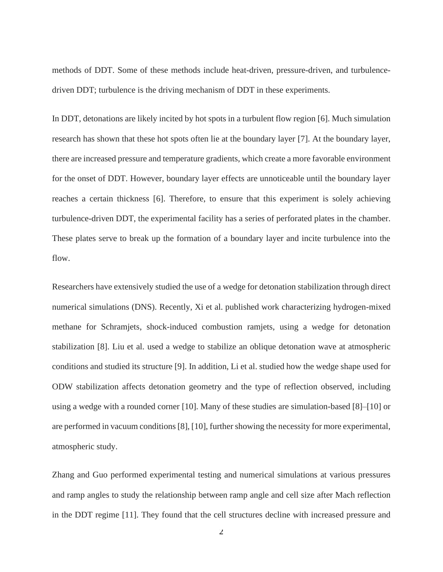methods of DDT. Some of these methods include heat-driven, pressure-driven, and turbulencedriven DDT; turbulence is the driving mechanism of DDT in these experiments.

In DDT, detonations are likely incited by hot spots in a turbulent flow region [6]. Much simulation research has shown that these hot spots often lie at the boundary layer [7]. At the boundary layer, there are increased pressure and temperature gradients, which create a more favorable environment for the onset of DDT. However, boundary layer effects are unnoticeable until the boundary layer reaches a certain thickness [6]. Therefore, to ensure that this experiment is solely achieving turbulence-driven DDT, the experimental facility has a series of perforated plates in the chamber. These plates serve to break up the formation of a boundary layer and incite turbulence into the flow.

Researchers have extensively studied the use of a wedge for detonation stabilization through direct numerical simulations (DNS). Recently, Xi et al. published work characterizing hydrogen-mixed methane for Schramjets, shock-induced combustion ramjets, using a wedge for detonation stabilization [8]. Liu et al. used a wedge to stabilize an oblique detonation wave at atmospheric conditions and studied its structure [9]. In addition, Li et al. studied how the wedge shape used for ODW stabilization affects detonation geometry and the type of reflection observed, including using a wedge with a rounded corner [10]. Many of these studies are simulation-based [8]–[10] or are performed in vacuum conditions [8], [10], further showing the necessity for more experimental, atmospheric study.

Zhang and Guo performed experimental testing and numerical simulations at various pressures and ramp angles to study the relationship between ramp angle and cell size after Mach reflection in the DDT regime [11]. They found that the cell structures decline with increased pressure and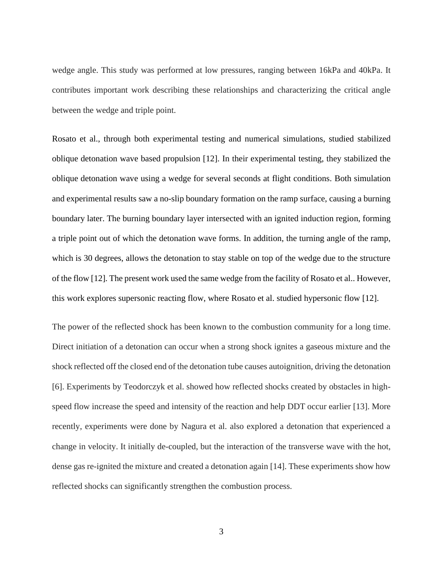wedge angle. This study was performed at low pressures, ranging between 16kPa and 40kPa. It contributes important work describing these relationships and characterizing the critical angle between the wedge and triple point.

Rosato et al., through both experimental testing and numerical simulations, studied stabilized oblique detonation wave based propulsion [12]. In their experimental testing, they stabilized the oblique detonation wave using a wedge for several seconds at flight conditions. Both simulation and experimental results saw a no-slip boundary formation on the ramp surface, causing a burning boundary later. The burning boundary layer intersected with an ignited induction region, forming a triple point out of which the detonation wave forms. In addition, the turning angle of the ramp, which is 30 degrees, allows the detonation to stay stable on top of the wedge due to the structure of the flow [12]. The present work used the same wedge from the facility of Rosato et al.. However, this work explores supersonic reacting flow, where Rosato et al. studied hypersonic flow [12].

The power of the reflected shock has been known to the combustion community for a long time. Direct initiation of a detonation can occur when a strong shock ignites a gaseous mixture and the shock reflected off the closed end of the detonation tube causes autoignition, driving the detonation [6]. Experiments by Teodorczyk et al. showed how reflected shocks created by obstacles in highspeed flow increase the speed and intensity of the reaction and help DDT occur earlier [13]. More recently, experiments were done by Nagura et al. also explored a detonation that experienced a change in velocity. It initially de-coupled, but the interaction of the transverse wave with the hot, dense gas re-ignited the mixture and created a detonation again [14]. These experiments show how reflected shocks can significantly strengthen the combustion process.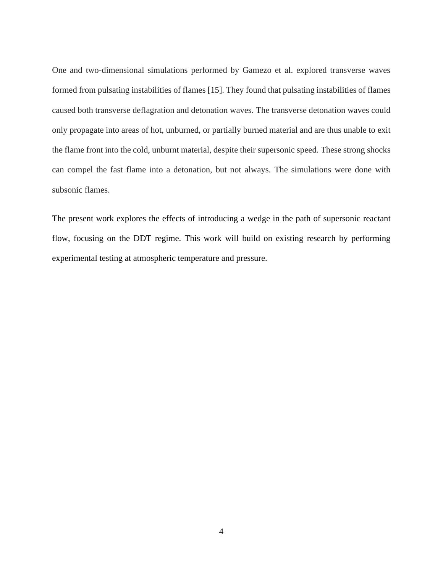One and two-dimensional simulations performed by Gamezo et al. explored transverse waves formed from pulsating instabilities of flames [15]. They found that pulsating instabilities of flames caused both transverse deflagration and detonation waves. The transverse detonation waves could only propagate into areas of hot, unburned, or partially burned material and are thus unable to exit the flame front into the cold, unburnt material, despite their supersonic speed. These strong shocks can compel the fast flame into a detonation, but not always. The simulations were done with subsonic flames.

The present work explores the effects of introducing a wedge in the path of supersonic reactant flow, focusing on the DDT regime. This work will build on existing research by performing experimental testing at atmospheric temperature and pressure.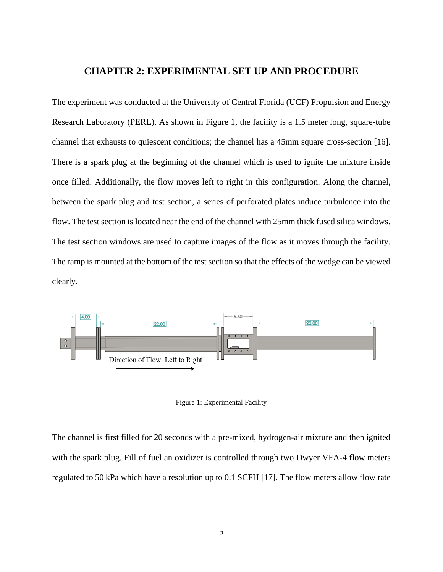#### **CHAPTER 2: EXPERIMENTAL SET UP AND PROCEDURE**

<span id="page-11-0"></span>The experiment was conducted at the University of Central Florida (UCF) Propulsion and Energy Research Laboratory (PERL). As shown in Figure 1, the facility is a 1.5 meter long, square-tube channel that exhausts to quiescent conditions; the channel has a 45mm square cross-section [16]. There is a spark plug at the beginning of the channel which is used to ignite the mixture inside once filled. Additionally, the flow moves left to right in this configuration. Along the channel, between the spark plug and test section, a series of perforated plates induce turbulence into the flow. The test section is located near the end of the channel with 25mm thick fused silica windows. The test section windows are used to capture images of the flow as it moves through the facility. The ramp is mounted at the bottom of the test section so that the effects of the wedge can be viewed clearly.



Figure 1: Experimental Facility

<span id="page-11-1"></span>The channel is first filled for 20 seconds with a pre-mixed, hydrogen-air mixture and then ignited with the spark plug. Fill of fuel an oxidizer is controlled through two Dwyer VFA-4 flow meters regulated to 50 kPa which have a resolution up to 0.1 SCFH [17]. The flow meters allow flow rate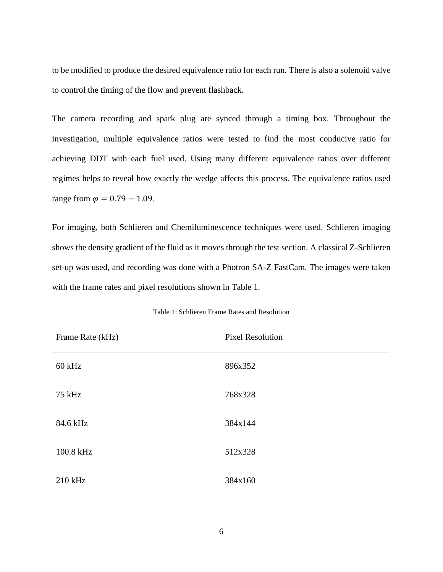to be modified to produce the desired equivalence ratio for each run. There is also a solenoid valve to control the timing of the flow and prevent flashback.

The camera recording and spark plug are synced through a timing box. Throughout the investigation, multiple equivalence ratios were tested to find the most conducive ratio for achieving DDT with each fuel used. Using many different equivalence ratios over different regimes helps to reveal how exactly the wedge affects this process. The equivalence ratios used range from  $\varphi = 0.79 - 1.09$ .

For imaging, both Schlieren and Chemiluminescence techniques were used. Schlieren imaging shows the density gradient of the fluid as it moves through the test section. A classical Z-Schlieren set-up was used, and recording was done with a Photron SA-Z FastCam. The images were taken with the frame rates and pixel resolutions shown in Table 1.

<span id="page-12-0"></span>

| Frame Rate (kHz) | <b>Pixel Resolution</b> |
|------------------|-------------------------|
| $60$ kHz         | 896x352                 |
| 75 kHz           | 768x328                 |
| 84.6 kHz         | 384x144                 |
| 100.8 kHz        | 512x328                 |
| 210 kHz          | 384x160                 |

Table 1: Schlieren Frame Rates and Resolution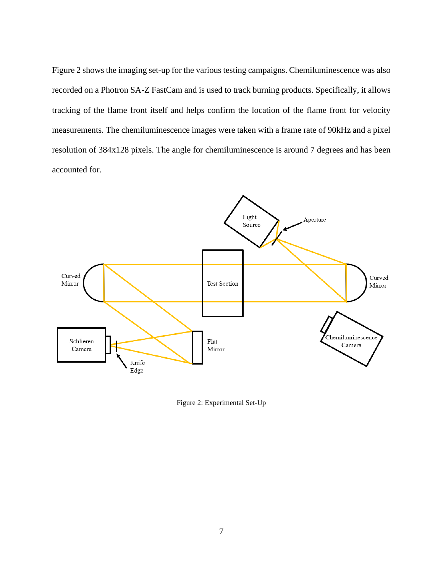Figure 2 shows the imaging set-up for the various testing campaigns. Chemiluminescence was also recorded on a Photron SA-Z FastCam and is used to track burning products. Specifically, it allows tracking of the flame front itself and helps confirm the location of the flame front for velocity measurements. The chemiluminescence images were taken with a frame rate of 90kHz and a pixel resolution of 384x128 pixels. The angle for chemiluminescence is around 7 degrees and has been accounted for.



<span id="page-13-0"></span>Figure 2: Experimental Set-Up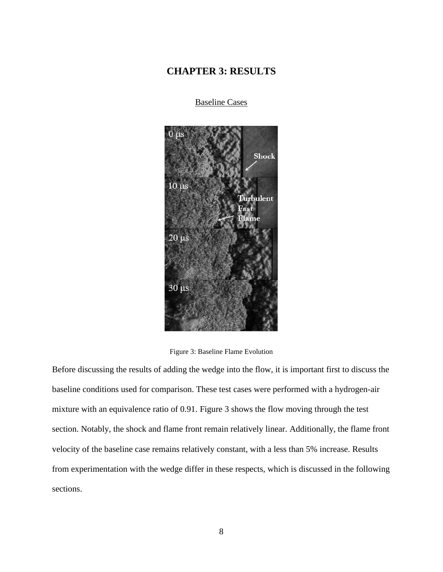## <span id="page-14-0"></span>**CHAPTER 3: RESULTS**

<span id="page-14-1"></span> $0<sub>us</sub>$ Shock  $10 \mu s$ bulent  $20 \text{ }\mu\text{s}$  $30 \mu s$ 

Baseline Cases

Figure 3: Baseline Flame Evolution

<span id="page-14-2"></span>Before discussing the results of adding the wedge into the flow, it is important first to discuss the baseline conditions used for comparison. These test cases were performed with a hydrogen-air mixture with an equivalence ratio of 0.91. Figure 3 shows the flow moving through the test section. Notably, the shock and flame front remain relatively linear. Additionally, the flame front velocity of the baseline case remains relatively constant, with a less than 5% increase. Results from experimentation with the wedge differ in these respects, which is discussed in the following sections.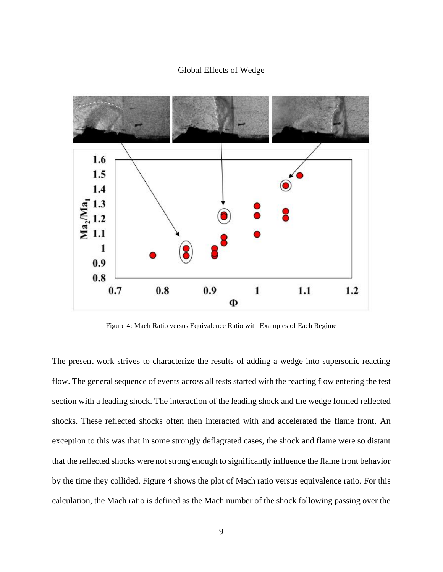#### Global Effects of Wedge

<span id="page-15-0"></span>

Figure 4: Mach Ratio versus Equivalence Ratio with Examples of Each Regime

<span id="page-15-1"></span>The present work strives to characterize the results of adding a wedge into supersonic reacting flow. The general sequence of events across all tests started with the reacting flow entering the test section with a leading shock. The interaction of the leading shock and the wedge formed reflected shocks. These reflected shocks often then interacted with and accelerated the flame front. An exception to this was that in some strongly deflagrated cases, the shock and flame were so distant that the reflected shocks were not strong enough to significantly influence the flame front behavior by the time they collided. Figure 4 shows the plot of Mach ratio versus equivalence ratio. For this calculation, the Mach ratio is defined as the Mach number of the shock following passing over the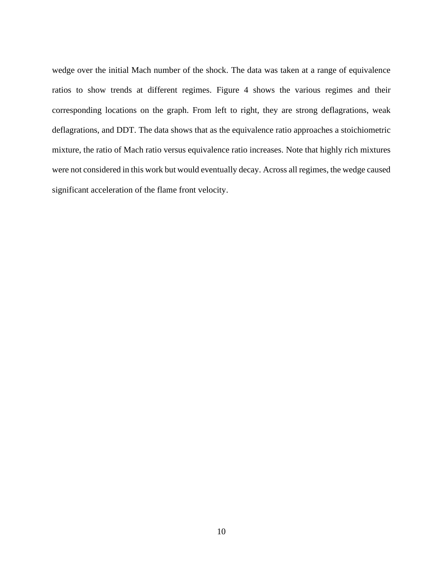wedge over the initial Mach number of the shock. The data was taken at a range of equivalence ratios to show trends at different regimes. Figure 4 shows the various regimes and their corresponding locations on the graph. From left to right, they are strong deflagrations, weak deflagrations, and DDT. The data shows that as the equivalence ratio approaches a stoichiometric mixture, the ratio of Mach ratio versus equivalence ratio increases. Note that highly rich mixtures were not considered in this work but would eventually decay. Across all regimes, the wedge caused significant acceleration of the flame front velocity.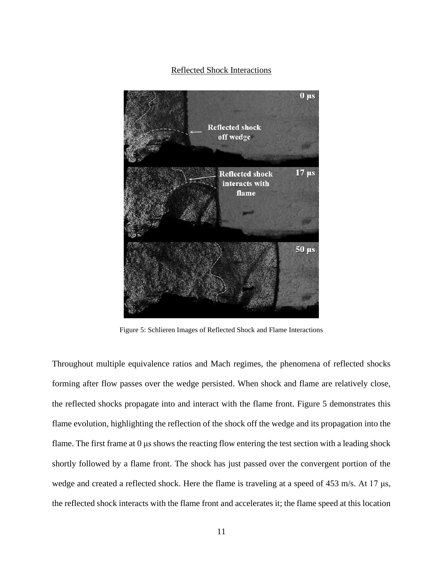#### Reflected Shock Interactions

<span id="page-17-0"></span>

Figure 5: Schlieren Images of Reflected Shock and Flame Interactions

<span id="page-17-1"></span>Throughout multiple equivalence ratios and Mach regimes, the phenomena of reflected shocks forming after flow passes over the wedge persisted. When shock and flame are relatively close, the reflected shocks propagate into and interact with the flame front. Figure 5 demonstrates this flame evolution, highlighting the reflection of the shock off the wedge and its propagation into the flame. The first frame at 0 μs shows the reacting flow entering the test section with a leading shock shortly followed by a flame front. The shock has just passed over the convergent portion of the wedge and created a reflected shock. Here the flame is traveling at a speed of 453 m/s. At 17 μs, the reflected shock interacts with the flame front and accelerates it; the flame speed at this location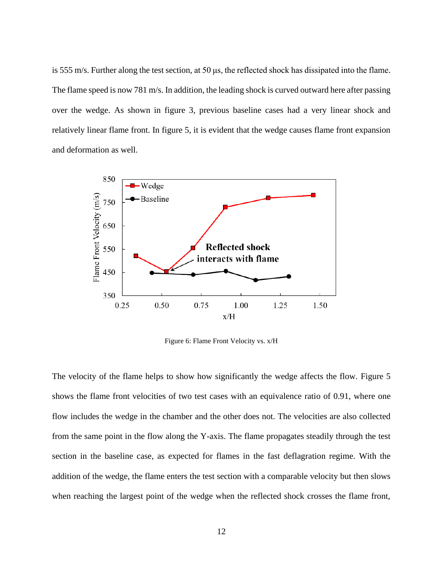is 555 m/s. Further along the test section, at 50 μs, the reflected shock has dissipated into the flame. The flame speed is now 781 m/s. In addition, the leading shock is curved outward here after passing over the wedge. As shown in figure 3, previous baseline cases had a very linear shock and relatively linear flame front. In figure 5, it is evident that the wedge causes flame front expansion and deformation as well.



Figure 6: Flame Front Velocity vs. x/H

<span id="page-18-0"></span>The velocity of the flame helps to show how significantly the wedge affects the flow. Figure 5 shows the flame front velocities of two test cases with an equivalence ratio of 0.91, where one flow includes the wedge in the chamber and the other does not. The velocities are also collected from the same point in the flow along the Y-axis. The flame propagates steadily through the test section in the baseline case, as expected for flames in the fast deflagration regime. With the addition of the wedge, the flame enters the test section with a comparable velocity but then slows when reaching the largest point of the wedge when the reflected shock crosses the flame front,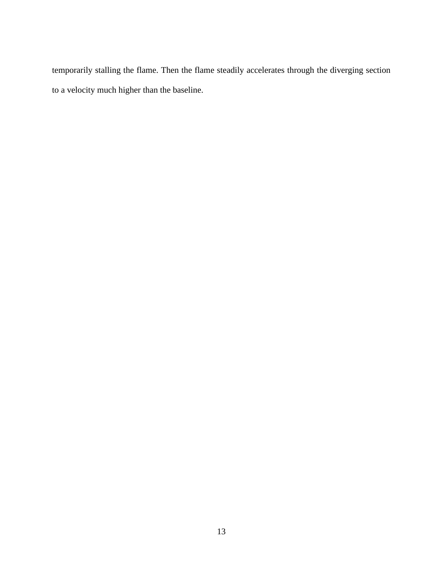temporarily stalling the flame. Then the flame steadily accelerates through the diverging section to a velocity much higher than the baseline.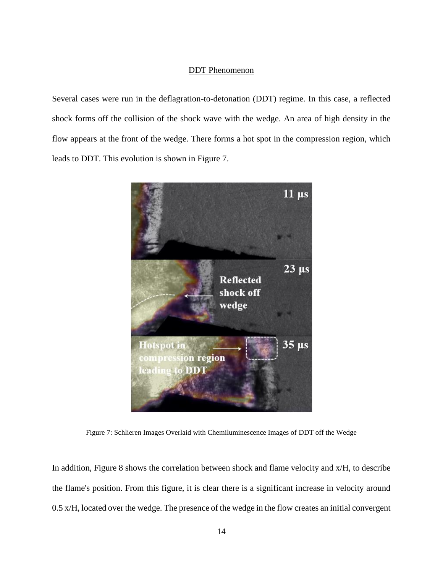#### DDT Phenomenon

<span id="page-20-0"></span>Several cases were run in the deflagration-to-detonation (DDT) regime. In this case, a reflected shock forms off the collision of the shock wave with the wedge. An area of high density in the flow appears at the front of the wedge. There forms a hot spot in the compression region, which leads to DDT. This evolution is shown in Figure 7.



Figure 7: Schlieren Images Overlaid with Chemiluminescence Images of DDT off the Wedge

<span id="page-20-1"></span>In addition, Figure 8 shows the correlation between shock and flame velocity and x/H, to describe the flame's position. From this figure, it is clear there is a significant increase in velocity around 0.5 x/H, located over the wedge. The presence of the wedge in the flow creates an initial convergent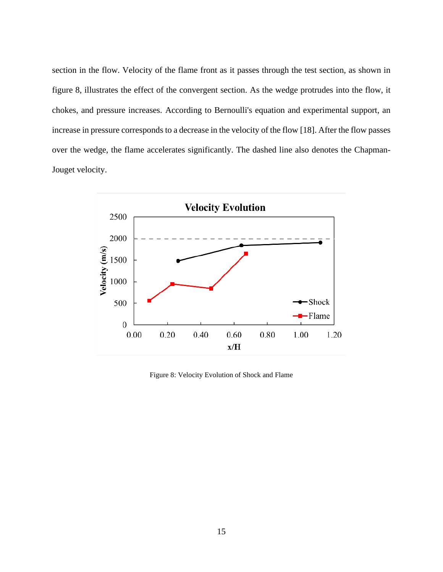section in the flow. Velocity of the flame front as it passes through the test section, as shown in figure 8, illustrates the effect of the convergent section. As the wedge protrudes into the flow, it chokes, and pressure increases. According to Bernoulli's equation and experimental support, an increase in pressure corresponds to a decrease in the velocity of the flow [18]. After the flow passes over the wedge, the flame accelerates significantly. The dashed line also denotes the Chapman-Jouget velocity.



<span id="page-21-0"></span>Figure 8: Velocity Evolution of Shock and Flame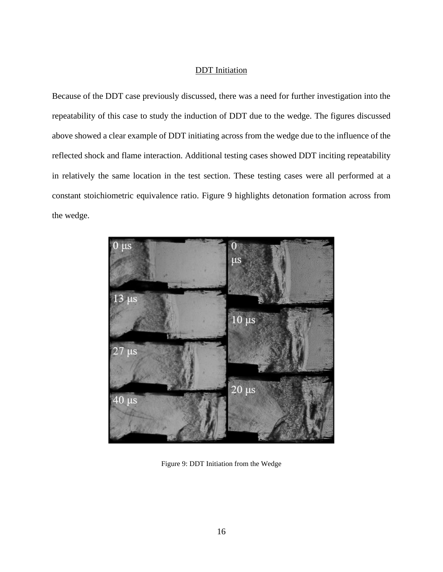#### DDT Initiation

<span id="page-22-0"></span>Because of the DDT case previously discussed, there was a need for further investigation into the repeatability of this case to study the induction of DDT due to the wedge. The figures discussed above showed a clear example of DDT initiating across from the wedge due to the influence of the reflected shock and flame interaction. Additional testing cases showed DDT inciting repeatability in relatively the same location in the test section. These testing cases were all performed at a constant stoichiometric equivalence ratio. Figure 9 highlights detonation formation across from the wedge.

<span id="page-22-1"></span>

Figure 9: DDT Initiation from the Wedge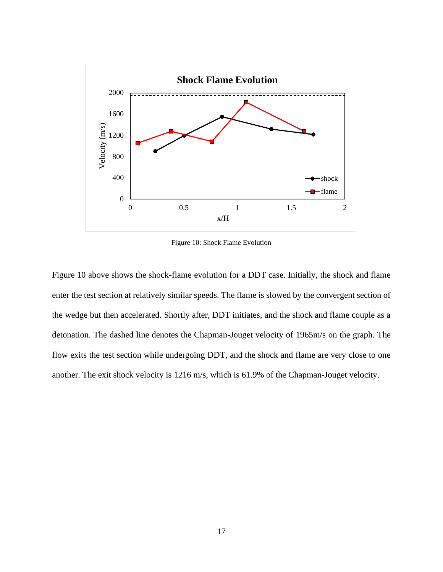

Figure 10: Shock Flame Evolution

<span id="page-23-0"></span>Figure 10 above shows the shock-flame evolution for a DDT case. Initially, the shock and flame enter the test section at relatively similar speeds. The flame is slowed by the convergent section of the wedge but then accelerated. Shortly after, DDT initiates, and the shock and flame couple as a detonation. The dashed line denotes the Chapman-Jouget velocity of 1965m/s on the graph. The flow exits the test section while undergoing DDT, and the shock and flame are very close to one another. The exit shock velocity is 1216 m/s, which is 61.9% of the Chapman-Jouget velocity.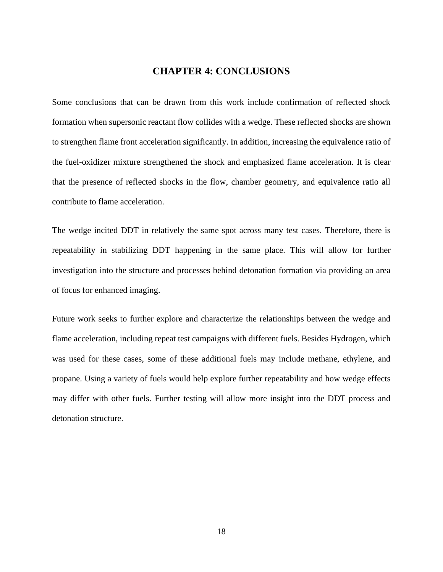## **CHAPTER 4: CONCLUSIONS**

<span id="page-24-0"></span>Some conclusions that can be drawn from this work include confirmation of reflected shock formation when supersonic reactant flow collides with a wedge. These reflected shocks are shown to strengthen flame front acceleration significantly. In addition, increasing the equivalence ratio of the fuel-oxidizer mixture strengthened the shock and emphasized flame acceleration. It is clear that the presence of reflected shocks in the flow, chamber geometry, and equivalence ratio all contribute to flame acceleration.

The wedge incited DDT in relatively the same spot across many test cases. Therefore, there is repeatability in stabilizing DDT happening in the same place. This will allow for further investigation into the structure and processes behind detonation formation via providing an area of focus for enhanced imaging.

Future work seeks to further explore and characterize the relationships between the wedge and flame acceleration, including repeat test campaigns with different fuels. Besides Hydrogen, which was used for these cases, some of these additional fuels may include methane, ethylene, and propane. Using a variety of fuels would help explore further repeatability and how wedge effects may differ with other fuels. Further testing will allow more insight into the DDT process and detonation structure.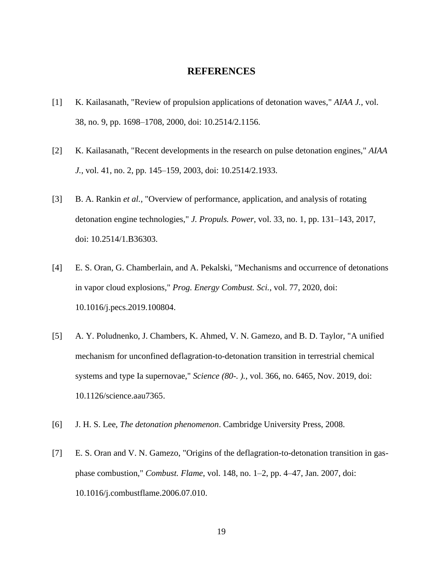#### **REFERENCES**

- <span id="page-25-0"></span>[1] K. Kailasanath, "Review of propulsion applications of detonation waves," *AIAA J.*, vol. 38, no. 9, pp. 1698–1708, 2000, doi: 10.2514/2.1156.
- [2] K. Kailasanath, "Recent developments in the research on pulse detonation engines," *AIAA J.*, vol. 41, no. 2, pp. 145–159, 2003, doi: 10.2514/2.1933.
- [3] B. A. Rankin *et al.*, "Overview of performance, application, and analysis of rotating detonation engine technologies," *J. Propuls. Power*, vol. 33, no. 1, pp. 131–143, 2017, doi: 10.2514/1.B36303.
- [4] E. S. Oran, G. Chamberlain, and A. Pekalski, "Mechanisms and occurrence of detonations in vapor cloud explosions," *Prog. Energy Combust. Sci.*, vol. 77, 2020, doi: 10.1016/j.pecs.2019.100804.
- [5] A. Y. Poludnenko, J. Chambers, K. Ahmed, V. N. Gamezo, and B. D. Taylor, "A unified mechanism for unconfined deflagration-to-detonation transition in terrestrial chemical systems and type Ia supernovae," *Science (80-. ).*, vol. 366, no. 6465, Nov. 2019, doi: 10.1126/science.aau7365.
- [6] J. H. S. Lee, *The detonation phenomenon*. Cambridge University Press, 2008.
- [7] E. S. Oran and V. N. Gamezo, "Origins of the deflagration-to-detonation transition in gasphase combustion," *Combust. Flame*, vol. 148, no. 1–2, pp. 4–47, Jan. 2007, doi: 10.1016/j.combustflame.2006.07.010.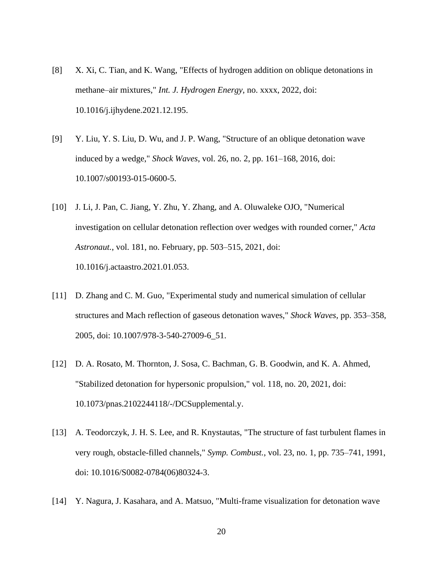- [8] X. Xi, C. Tian, and K. Wang, "Effects of hydrogen addition on oblique detonations in methane–air mixtures," *Int. J. Hydrogen Energy*, no. xxxx, 2022, doi: 10.1016/j.ijhydene.2021.12.195.
- [9] Y. Liu, Y. S. Liu, D. Wu, and J. P. Wang, "Structure of an oblique detonation wave induced by a wedge," *Shock Waves*, vol. 26, no. 2, pp. 161–168, 2016, doi: 10.1007/s00193-015-0600-5.
- [10] J. Li, J. Pan, C. Jiang, Y. Zhu, Y. Zhang, and A. Oluwaleke OJO, "Numerical investigation on cellular detonation reflection over wedges with rounded corner," *Acta Astronaut.*, vol. 181, no. February, pp. 503–515, 2021, doi: 10.1016/j.actaastro.2021.01.053.
- [11] D. Zhang and C. M. Guo, "Experimental study and numerical simulation of cellular structures and Mach reflection of gaseous detonation waves," *Shock Waves*, pp. 353–358, 2005, doi: 10.1007/978-3-540-27009-6\_51.
- [12] D. A. Rosato, M. Thornton, J. Sosa, C. Bachman, G. B. Goodwin, and K. A. Ahmed, "Stabilized detonation for hypersonic propulsion," vol. 118, no. 20, 2021, doi: 10.1073/pnas.2102244118/-/DCSupplemental.y.
- [13] A. Teodorczyk, J. H. S. Lee, and R. Knystautas, "The structure of fast turbulent flames in very rough, obstacle-filled channels," *Symp. Combust.*, vol. 23, no. 1, pp. 735–741, 1991, doi: 10.1016/S0082-0784(06)80324-3.
- [14] Y. Nagura, J. Kasahara, and A. Matsuo, "Multi-frame visualization for detonation wave